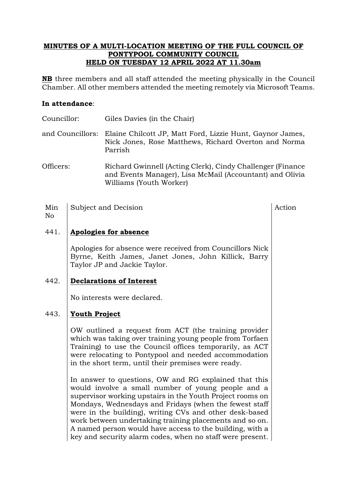#### **MINUTES OF A MULTI-LOCATION MEETING OF THE FULL COUNCIL OF PONTYPOOL COMMUNITY COUNCIL HELD ON TUESDAY 12 APRIL 2022 AT 11.30am**

**NB** three members and all staff attended the meeting physically in the Council Chamber. All other members attended the meeting remotely via Microsoft Teams.

#### **In attendance**:

No

| Councillor: | Giles Davies (in the Chair)                                                                                                                   |
|-------------|-----------------------------------------------------------------------------------------------------------------------------------------------|
|             | and Councillors: Elaine Chilcott JP, Matt Ford, Lizzie Hunt, Gaynor James,<br>Nick Jones, Rose Matthews, Richard Overton and Norma<br>Parrish |
| Officers:   | Richard Gwinnell (Acting Clerk), Cindy Challenger (Finance                                                                                    |

- and Events Manager), Lisa McMail (Accountant) and Olivia Williams (Youth Worker)
- Min Subject and Decision Action

#### 441. **Apologies for absence**

Apologies for absence were received from Councillors Nick Byrne, Keith James, Janet Jones, John Killick, Barry Taylor JP and Jackie Taylor.

# 442. **Declarations of Interest**

No interests were declared.

# 443. **Youth Project**

OW outlined a request from ACT (the training provider which was taking over training young people from Torfaen Training) to use the Council offices temporarily, as ACT were relocating to Pontypool and needed accommodation in the short term, until their premises were ready.

In answer to questions, OW and RG explained that this would involve a small number of young people and a supervisor working upstairs in the Youth Project rooms on Mondays, Wednesdays and Fridays (when the fewest staff were in the building), writing CVs and other desk-based work between undertaking training placements and so on. A named person would have access to the building, with a key and security alarm codes, when no staff were present.